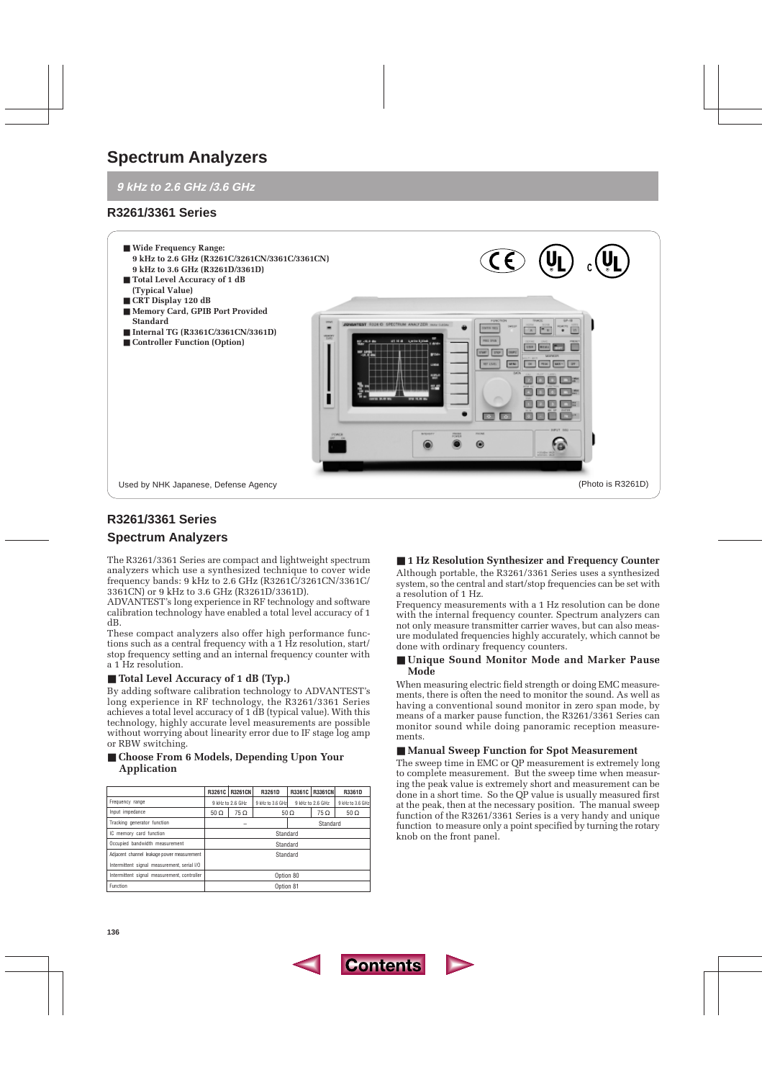# **Spectrum Analyzers**

# **9 kHz to 2.6 GHz /3.6 GHz**

# **R3261/3361 Series**



# **R3261/3361 Series**

# **Spectrum Analyzers**

The R3261/3361 Series are compact and lightweight spectrum analyzers which use a synthesized technique to cover wide frequency bands: 9 kHz to 2.6 GHz (R3261C/3261CN/3361C/ 3361CN) or 9 kHz to 3.6 GHz (R3261D/3361D).

ADVANTEST's long experience in RF technology and software calibration technology have enabled a total level accuracy of 1 dB.

These compact analyzers also offer high performance functions such as a central frequency with a 1 Hz resolution, start/ stop frequency setting and an internal frequency counter with a 1 Hz resolution.

## ■ **Total Level Accuracy of 1 dB (Typ.)**

By adding software calibration technology to ADVANTEST's long experience in RF technology, the R3261/3361 Series achieves a total level accuracy of 1 dB (typical value). With this technology, highly accurate level measurements are possible without worrying about linearity error due to IF stage log amp or RBW switching.

## ■ **Choose From 6 Models, Depending Upon Your Application**

|                                             |               | R3261C R3261CN   | R3261D           | R3361C     | <b>R3361CN</b>   | R3361D           |
|---------------------------------------------|---------------|------------------|------------------|------------|------------------|------------------|
| Frequency range                             |               | 9 kHz to 2.6 GHz | 9 kHz to 3.6 GHz |            | 9 kHz to 2.6 GHz | 9 kHz to 3.6 GHz |
| Input impedance                             | $50 \Omega$   | $75\,\Omega$     |                  | $50\Omega$ | 75 Ω             | $50 \Omega$      |
| Tracking generator function                 | Standard<br>- |                  |                  |            |                  |                  |
| IC memory card function                     | Standard      |                  |                  |            |                  |                  |
| Occupied bandwidth measurement              | Standard      |                  |                  |            |                  |                  |
| Adjacent channel leakage power measurement  | Standard      |                  |                  |            |                  |                  |
| Intermittent signal measurement, serial I/O |               |                  |                  |            |                  |                  |
| Intermittent signal measurement, controller | Option 80     |                  |                  |            |                  |                  |
| Function                                    | Option 81     |                  |                  |            |                  |                  |

# ■ 1 Hz Resolution Synthesizer and Frequency Counter

Although portable, the R3261/3361 Series uses a synthesized system, so the central and start/stop frequencies can be set with a resolution of 1 Hz.

Frequency measurements with a 1 Hz resolution can be done with the internal frequency counter. Spectrum analyzers can not only measure transmitter carrier waves, but can also measure modulated frequencies highly accurately, which cannot be done with ordinary frequency counters.

## ■ **Unique Sound Monitor Mode and Marker Pause Mode**

When measuring electric field strength or doing EMC measurements, there is often the need to monitor the sound. As well as having a conventional sound monitor in zero span mode, by means of a marker pause function, the R3261/3361 Series can monitor sound while doing panoramic reception measurements.

## ■ **Manual Sweep Function for Spot Measurement**

The sweep time in EMC or QP measurement is extremely long to complete measurement. But the sweep time when measuring the peak value is extremely short and measurement can be done in a short time. So the QP value is usually measured first at the peak, then at the necessary position. The manual sweep function of the R3261/3361 Series is a very handy and unique function to measure only a point specified by turning the rotary knob on the front panel.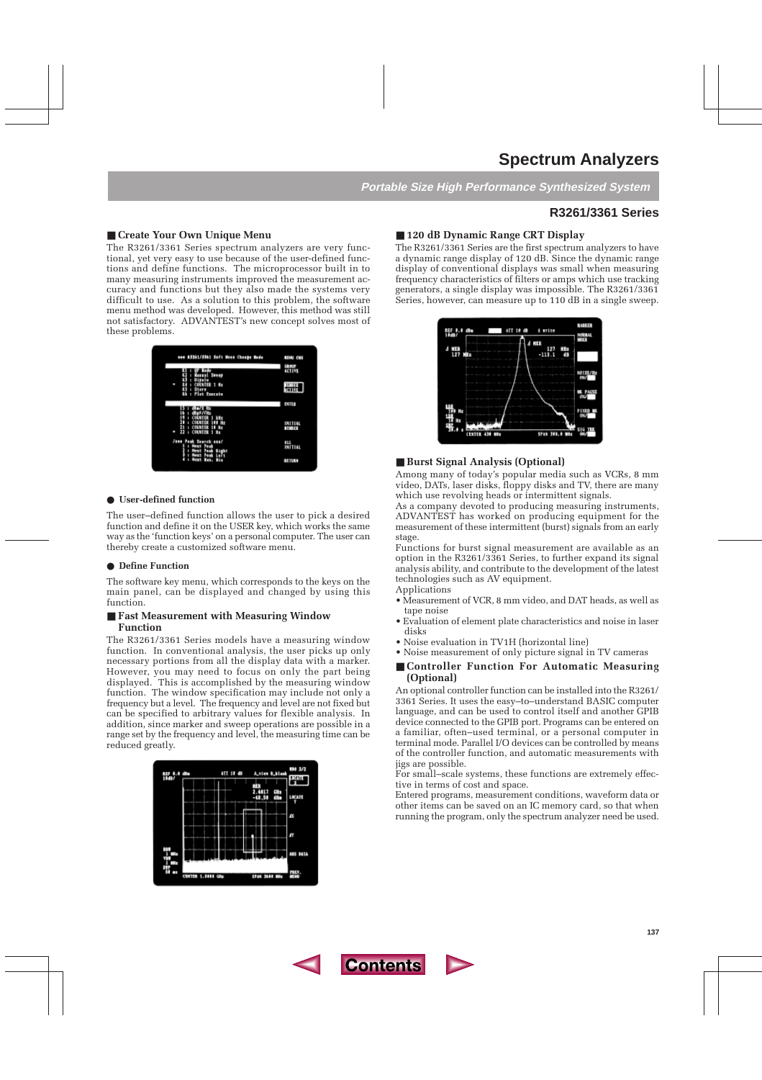# **Spectrum Analyzers**

**Portable Size High Performance Synthesized System**

# **R3261/3361 Series**

## ■ **Create Your Own Unique Menu**

The R3261/3361 Series spectrum analyzers are very functional, yet very easy to use because of the user-defined functions and define functions. The microprocessor built in to many measuring instruments improved the measurement accuracy and functions but they also made the systems very difficult to use. As a solution to this problem, the software menu method was developed. However, this method was still not satisfactory. ADVANTEST's new concept solves most of these problems.



#### ● **User-defined function**

The user–defined function allows the user to pick a desired function and define it on the USER key, which works the same way as the 'function keys' on a personal computer. The user can thereby create a customized software menu.

#### ● **Define Function**

The software key menu, which corresponds to the keys on the main panel, can be displayed and changed by using this function.

## ■ **Fast Measurement with Measuring Window Function**

The R3261/3361 Series models have a measuring window function. In conventional analysis, the user picks up only necessary portions from all the display data with a marker. However, you may need to focus on only the part being displayed. This is accomplished by the measuring window function. The window specification may include not only a frequency but a level. The frequency and level are not fixed but can be specified to arbitrary values for flexible analysis. In addition, since marker and sweep operations are possible in a range set by the frequency and level, the measuring time can be reduced greatly.



## ■ **120 dB Dynamic Range CRT Display**

The R3261/3361 Series are the first spectrum analyzers to have a dynamic range display of 120 dB. Since the dynamic range display of conventional displays was small when measuring frequency characteristics of filters or amps which use tracking generators, a single display was impossible. The R3261/3361 Series, however, can measure up to 110 dB in a single sweep.



## ■ **Burst Signal Analysis (Optional)**

Among many of today's popular media such as VCRs, 8 mm video, DATs, laser disks, floppy disks and TV, there are many which use revolving heads or intermittent signals.

As a company devoted to producing measuring instruments, ADVANTEST has worked on producing equipment for the measurement of these intermittent (burst) signals from an early stage.

Functions for burst signal measurement are available as an option in the R3261/3361 Series, to further expand its signal analysis ability, and contribute to the development of the latest technologies such as AV equipment.

Applications

- Measurement of VCR, 8 mm video, and DAT heads, as well as tape noise
- Evaluation of element plate characteristics and noise in laser disks
- Noise evaluation in TV1H (horizontal line)
- Noise measurement of only picture signal in TV cameras

## ■ **Controller Function For Automatic Measuring (Optional)**

An optional controller function can be installed into the R3261/ 3361 Series. It uses the easy–to–understand BASIC computer language, and can be used to control itself and another GPIB device connected to the GPIB port. Programs can be entered on a familiar, often–used terminal, or a personal computer in terminal mode. Parallel I/O devices can be controlled by means of the controller function, and automatic measurements with jigs are possible.

For small–scale systems, these functions are extremely effective in terms of cost and space.

Entered programs, measurement conditions, waveform data or other items can be saved on an IC memory card, so that when running the program, only the spectrum analyzer need be used.